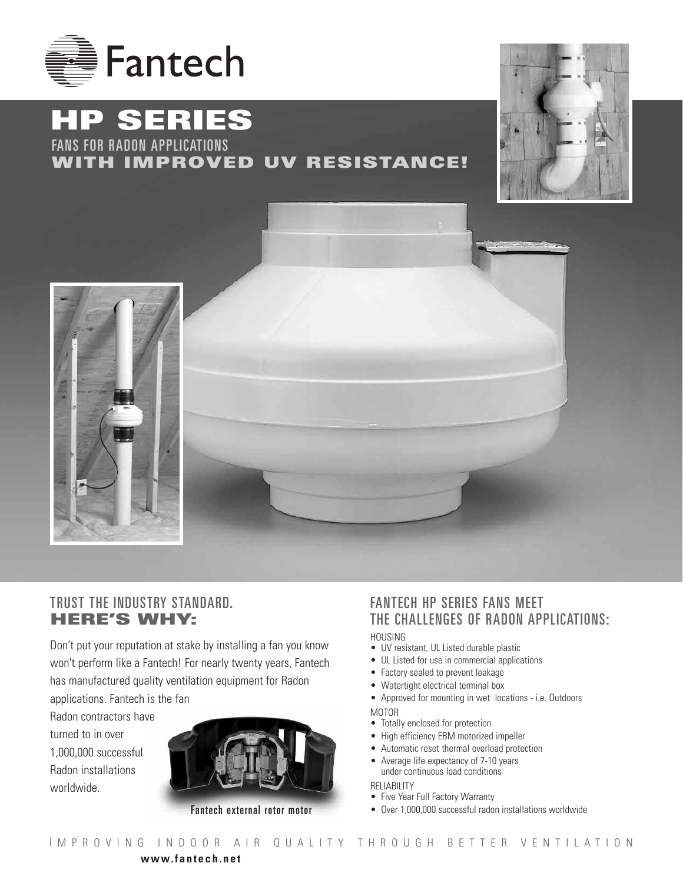

# **HP SERIES** FANS FOR RADON APPLICATIONS

## **WITH IMPROVED UV RESISTANCE!**





## TRUST THE INDUSTRY STANDARD. **HERE'S WHY:**

Don't put your reputation at stake by installing a fan you know won't perform like a Fantech! For nearly twenty years, Fantech has manufactured quality ventilation equipment for Radon

applications. Fantech is the fan Radon contractors have turned to in over 1,000,000 successful Radon installations worldwide.



Fantech external rotor motor

## FANTECH HP SERIES FANS MEET THE CHALLENGES OF RADON APPLICATIONS:

#### HOUSING

- UV resistant, UL Listed durable plastic
- UL Listed for use in commercial applications
- Factory sealed to prevent leakage
- Watertight electrical terminal box
- Approved for mounting in wet locations i.e. Outdoors MOTOR
- Totally enclosed for protection
- High efficiency EBM motorized impeller
- Automatic reset thermal overload protection
- Average life expectancy of 7-10 years under continuous load conditions

RELIABILITY

- Five Year Full Factory Warranty
- Over 1,000,000 successful radon installations worldwide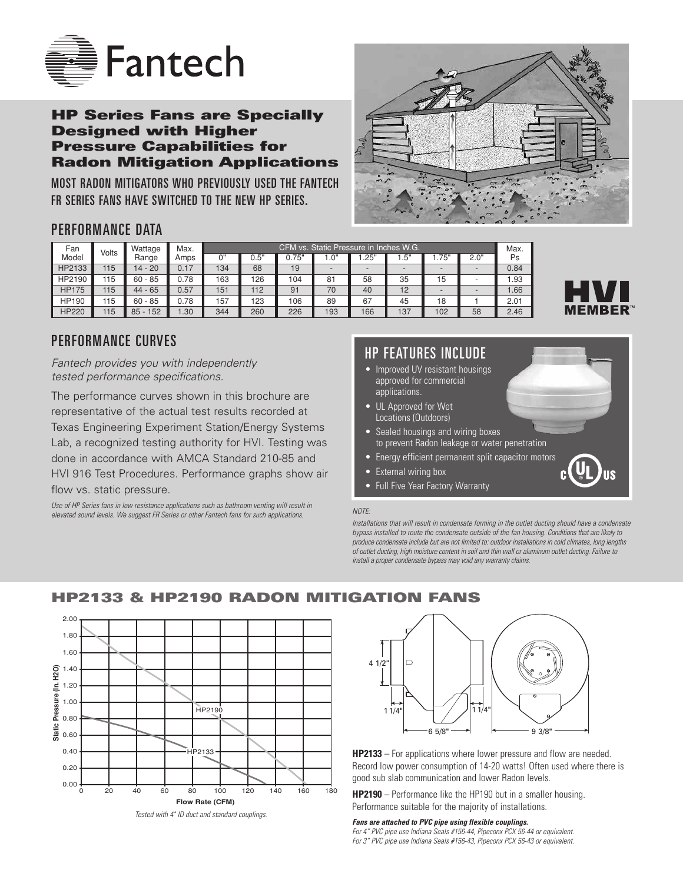

### **HP Series Fans are Specially Designed with Higher Pressure Capabilities for Radon Mitigation Applications**

MOST RADON MITIGATORS WHO PREVIOUSLY USED THE FANTECH FR SERIES FANS HAVE SWITCHED TO THE NEW HP SERIES.



## PERFORMANCE DATA

| Fan          | Volts | Wattage    | Max. | CFM vs. Static Pressure in Inches W.G. |      |       |       |      |       |      |      |      |  |
|--------------|-------|------------|------|----------------------------------------|------|-------|-------|------|-------|------|------|------|--|
| Model        |       | Range      | Amps | ∩"                                     | 0.5" | 0.75" | .0"   | .25" | . .5" | .75" | 2.0" | Ps   |  |
| HP2133       | 115   | 14 - 20    | 0.17 | 134                                    | 68   | 19    |       |      |       |      |      | 0.84 |  |
| HP2190       | 115   | $60 - 85$  | 0.78 | 163                                    | 126  | 104   | $8 -$ | 58   | 35    | 15   |      | l.93 |  |
| <b>HP175</b> | 115   | $44 - 65$  | 0.57 | 151                                    | 112  | 91    | 70    | 40   | 12    |      |      | 1.66 |  |
| <b>HP190</b> | 115   | $60 - 85$  | 0.78 | 157                                    | 123  | 106   | 89    | 67   | 45    | 18   |      | 2.01 |  |
| <b>HP220</b> | 115   | $85 - 152$ | .30  | 344                                    | 260  | 226   | 193   | 166  | 137   | 102  | 58   | 2.46 |  |



*Fantech provides you with independently tested performance specifications.*

The performance curves shown in this brochure are representative of the actual test results recorded at Texas Engineering Experiment Station/Energy Systems Lab, a recognized testing authority for HVI. Testing was done in accordance with AMCA Standard 210-85 and HVI 916 Test Procedures. Performance graphs show air flow vs. static pressure.

*Use of HP Series fans in low resistance applications such as bathroom venting will result in elevated sound levels. We suggest FR Series or other Fantech fans for such applications.*

## HP FEATURES INCLUDE

- Improved UV resistant housings approved for commercial applications.
- UL Approved for Wet Locations (Outdoors)
- Sealed housings and wiring boxes to prevent Radon leakage or water penetration
- Energy efficient permanent split capacitor motors
- External wiring box
- Full Five Year Factory Warranty

#### *NOTE:*

*Installations that will result in condensate forming in the outlet ducting should have a condensate bypass installed to route the condensate outside of the fan housing. Conditions that are likely to produce condensate include but are not limited to: outdoor installations in cold climates, long lengths of outlet ducting, high moisture content in soil and thin wall or aluminum outlet ducting. Failure to install a proper condensate bypass may void any warranty claims.*



**HP2133 & HP2190 RADON MITIGATION FANS**

**HP2133** – For applications where lower pressure and flow are needed. Record low power consumption of 14-20 watts! Often used where there is good sub slab communication and lower Radon levels.

**HP2190** – Performance like the HP190 but in a smaller housing. Performance suitable for the majority of installations.

#### *Fans are attached to PVC pipe using flexible couplings.*

*For 4" PVC pipe use Indiana Seals #156-44, Pipeconx PCX 56-44 or equivalent. For 3" PVC pipe use Indiana Seals #156-43, Pipeconx PCX 56-43 or equivalent.*



<sup>4</sup> 1/2" D  $11/4$  $6\frac{5}{8}$ "  $\rightarrow$   $\leftarrow$  9 3/8"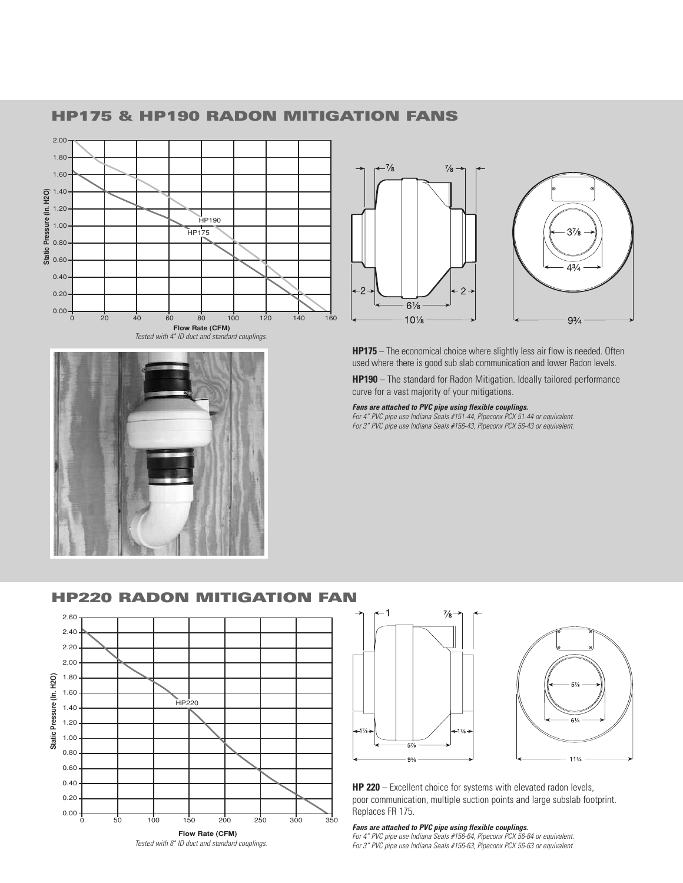

**HP175 & HP190 RADON MITIGATION FANS**



 $\frac{7}{8}$  $\frac{7}{8}$  $\overline{c}$  $\overline{2}$  $6\frac{1}{8}$  $10\frac{1}{8}$ 



**HP175** – The economical choice where slightly less air flow is needed. Often used where there is good sub slab communication and lower Radon levels.

**HP190** – The standard for Radon Mitigation. Ideally tailored performance curve for a vast majority of your mitigations.

*Fans are attached to PVC pipe using flexible couplings. For 4" PVC pipe use Indiana Seals #151-44, Pipeconx PCX 51-44 or equivalent.* 

*For 3" PVC pipe use Indiana Seals #156-43, Pipeconx PCX 56-43 or equivalent.*



### **HP220 RADON MITIGATION FAN**





**HP 220** – Excellent choice for systems with elevated radon levels, poor communication, multiple suction points and large subslab footprint. Replaces FR 175.

#### *Fans are attached to PVC pipe using flexible couplings.*

*For 4" PVC pipe use Indiana Seals #156-64, Pipeconx PCX 56-64 or equivalent. For 3" PVC pipe use Indiana Seals #156-63, Pipeconx PCX 56-63 or equivalent.*